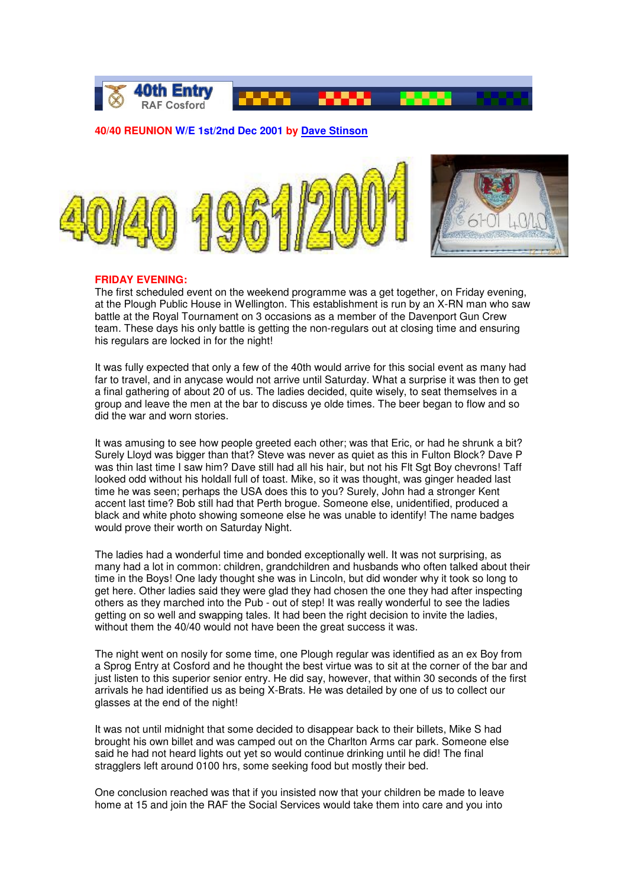

# **40/40 REUNION W/E 1st/2nd Dec 2001 by Dave Stinson**



## **FRIDAY EVENING:**

The first scheduled event on the weekend programme was a get together, on Friday evening, at the Plough Public House in Wellington. This establishment is run by an X-RN man who saw battle at the Royal Tournament on 3 occasions as a member of the Davenport Gun Crew team. These days his only battle is getting the non-regulars out at closing time and ensuring his regulars are locked in for the night!

It was fully expected that only a few of the 40th would arrive for this social event as many had far to travel, and in anycase would not arrive until Saturday. What a surprise it was then to get a final gathering of about 20 of us. The ladies decided, quite wisely, to seat themselves in a group and leave the men at the bar to discuss ye olde times. The beer began to flow and so did the war and worn stories.

It was amusing to see how people greeted each other; was that Eric, or had he shrunk a bit? Surely Lloyd was bigger than that? Steve was never as quiet as this in Fulton Block? Dave P was thin last time I saw him? Dave still had all his hair, but not his Flt Sgt Boy chevrons! Taff looked odd without his holdall full of toast. Mike, so it was thought, was ginger headed last time he was seen; perhaps the USA does this to you? Surely, John had a stronger Kent accent last time? Bob still had that Perth brogue. Someone else, unidentified, produced a black and white photo showing someone else he was unable to identify! The name badges would prove their worth on Saturday Night.

The ladies had a wonderful time and bonded exceptionally well. It was not surprising, as many had a lot in common: children, grandchildren and husbands who often talked about their time in the Boys! One lady thought she was in Lincoln, but did wonder why it took so long to get here. Other ladies said they were glad they had chosen the one they had after inspecting others as they marched into the Pub - out of step! It was really wonderful to see the ladies getting on so well and swapping tales. It had been the right decision to invite the ladies, without them the 40/40 would not have been the great success it was.

The night went on nosily for some time, one Plough regular was identified as an ex Boy from a Sprog Entry at Cosford and he thought the best virtue was to sit at the corner of the bar and just listen to this superior senior entry. He did say, however, that within 30 seconds of the first arrivals he had identified us as being X-Brats. He was detailed by one of us to collect our glasses at the end of the night!

It was not until midnight that some decided to disappear back to their billets, Mike S had brought his own billet and was camped out on the Charlton Arms car park. Someone else said he had not heard lights out yet so would continue drinking until he did! The final stragglers left around 0100 hrs, some seeking food but mostly their bed.

One conclusion reached was that if you insisted now that your children be made to leave home at 15 and join the RAF the Social Services would take them into care and you into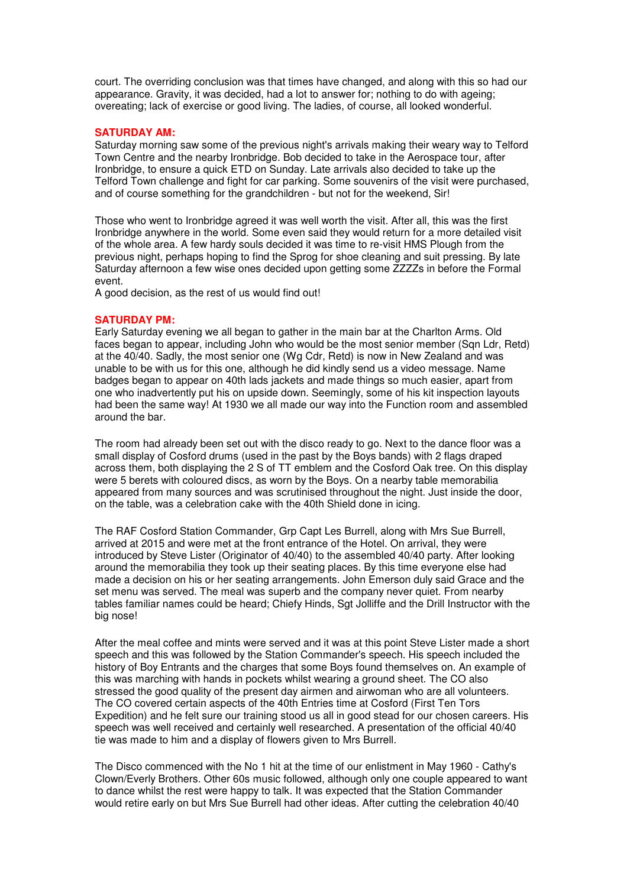court. The overriding conclusion was that times have changed, and along with this so had our appearance. Gravity, it was decided, had a lot to answer for; nothing to do with ageing; overeating; lack of exercise or good living. The ladies, of course, all looked wonderful.

### **SATURDAY AM:**

Saturday morning saw some of the previous night's arrivals making their weary way to Telford Town Centre and the nearby Ironbridge. Bob decided to take in the Aerospace tour, after Ironbridge, to ensure a quick ETD on Sunday. Late arrivals also decided to take up the Telford Town challenge and fight for car parking. Some souvenirs of the visit were purchased, and of course something for the grandchildren - but not for the weekend, Sir!

Those who went to Ironbridge agreed it was well worth the visit. After all, this was the first Ironbridge anywhere in the world. Some even said they would return for a more detailed visit of the whole area. A few hardy souls decided it was time to re-visit HMS Plough from the previous night, perhaps hoping to find the Sprog for shoe cleaning and suit pressing. By late Saturday afternoon a few wise ones decided upon getting some ZZZZs in before the Formal event.

A good decision, as the rest of us would find out!

### **SATURDAY PM:**

Early Saturday evening we all began to gather in the main bar at the Charlton Arms. Old faces began to appear, including John who would be the most senior member (Sqn Ldr, Retd) at the 40/40. Sadly, the most senior one (Wg Cdr, Retd) is now in New Zealand and was unable to be with us for this one, although he did kindly send us a video message. Name badges began to appear on 40th lads jackets and made things so much easier, apart from one who inadvertently put his on upside down. Seemingly, some of his kit inspection layouts had been the same way! At 1930 we all made our way into the Function room and assembled around the bar.

The room had already been set out with the disco ready to go. Next to the dance floor was a small display of Cosford drums (used in the past by the Boys bands) with 2 flags draped across them, both displaying the 2 S of TT emblem and the Cosford Oak tree. On this display were 5 berets with coloured discs, as worn by the Boys. On a nearby table memorabilia appeared from many sources and was scrutinised throughout the night. Just inside the door, on the table, was a celebration cake with the 40th Shield done in icing.

The RAF Cosford Station Commander, Grp Capt Les Burrell, along with Mrs Sue Burrell, arrived at 2015 and were met at the front entrance of the Hotel. On arrival, they were introduced by Steve Lister (Originator of 40/40) to the assembled 40/40 party. After looking around the memorabilia they took up their seating places. By this time everyone else had made a decision on his or her seating arrangements. John Emerson duly said Grace and the set menu was served. The meal was superb and the company never quiet. From nearby tables familiar names could be heard; Chiefy Hinds, Sgt Jolliffe and the Drill Instructor with the big nose!

After the meal coffee and mints were served and it was at this point Steve Lister made a short speech and this was followed by the Station Commander's speech. His speech included the history of Boy Entrants and the charges that some Boys found themselves on. An example of this was marching with hands in pockets whilst wearing a ground sheet. The CO also stressed the good quality of the present day airmen and airwoman who are all volunteers. The CO covered certain aspects of the 40th Entries time at Cosford (First Ten Tors Expedition) and he felt sure our training stood us all in good stead for our chosen careers. His speech was well received and certainly well researched. A presentation of the official 40/40 tie was made to him and a display of flowers given to Mrs Burrell.

The Disco commenced with the No 1 hit at the time of our enlistment in May 1960 - Cathy's Clown/Everly Brothers. Other 60s music followed, although only one couple appeared to want to dance whilst the rest were happy to talk. It was expected that the Station Commander would retire early on but Mrs Sue Burrell had other ideas. After cutting the celebration 40/40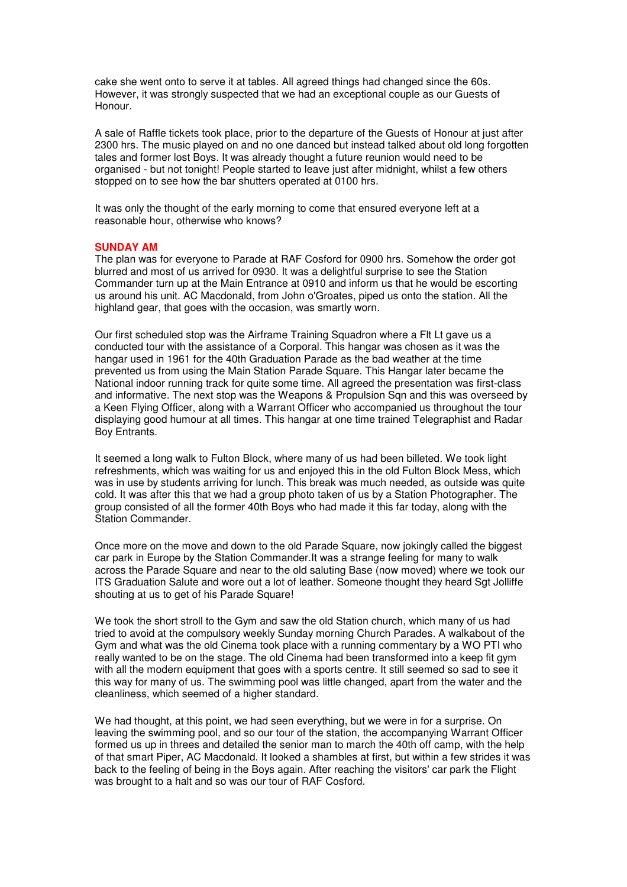cake she went onto to serve it at tables. All agreed things had changed since the 60s. However, it was strongly suspected that we had an exceptional couple as our Guests of Honour.

A sale of Raffle tickets took place, prior to the departure of the Guests of Honour at just after 2300 hrs. The music played on and no one danced but instead talked about old long forgotten tales and former lost Boys. It was already thought a future reunion would need to be organised - but not tonight! People started to leave just after midnight, whilst a few others stopped on to see how the bar shutters operated at 0100 hrs.

It was only the thought of the early morning to come that ensured everyone left at a reasonable hour, otherwise who knows?

# **SUNDAY AM**

The plan was for everyone to Parade at RAF Cosford for 0900 hrs. Somehow the order got blurred and most of us arrived for 0930. It was a delightful surprise to see the Station Commander turn up at the Main Entrance at 0910 and inform us that he would be escorting us around his unit. AC Macdonald, from John o'Groates, piped us onto the station. All the highland gear, that goes with the occasion, was smartly worn.

Our first scheduled stop was the Airframe Training Squadron where a Flt Lt gave us a conducted tour with the assistance of a Corporal. This hangar was chosen as it was the hangar used in 1961 for the 40th Graduation Parade as the bad weather at the time prevented us from using the Main Station Parade Square. This Hangar later became the National indoor running track for quite some time. All agreed the presentation was first-class and informative. The next stop was the Weapons & Propulsion Sqn and this was overseed by a Keen Flying Officer, along with a Warrant Officer who accompanied us throughout the tour displaying good humour at all times. This hangar at one time trained Telegraphist and Radar Boy Entrants.

It seemed a long walk to Fulton Block, where many of us had been billeted. We took light refreshments, which was waiting for us and enjoyed this in the old Fulton Block Mess, which was in use by students arriving for lunch. This break was much needed, as outside was quite cold. It was after this that we had a group photo taken of us by a Station Photographer. The group consisted of all the former 40th Boys who had made it this far today, along with the Station Commander.

Once more on the move and down to the old Parade Square, now jokingly called the biggest car park in Europe by the Station Commander.It was a strange feeling for many to walk across the Parade Square and near to the old saluting Base (now moved) where we took our ITS Graduation Salute and wore out a lot of leather. Someone thought they heard Sgt Jolliffe shouting at us to get of his Parade Square!

We took the short stroll to the Gym and saw the old Station church, which many of us had tried to avoid at the compulsory weekly Sunday morning Church Parades. A walkabout of the Gym and what was the old Cinema took place with a running commentary by a WO PTI who really wanted to be on the stage. The old Cinema had been transformed into a keep fit gym with all the modern equipment that goes with a sports centre. It still seemed so sad to see it this way for many of us. The swimming pool was little changed, apart from the water and the cleanliness, which seemed of a higher standard.

We had thought, at this point, we had seen everything, but we were in for a surprise. On leaving the swimming pool, and so our tour of the station, the accompanying Warrant Officer formed us up in threes and detailed the senior man to march the 40th off camp, with the help of that smart Piper, AC Macdonald. It looked a shambles at first, but within a few strides it was back to the feeling of being in the Boys again. After reaching the visitors' car park the Flight was brought to a halt and so was our tour of RAF Cosford.